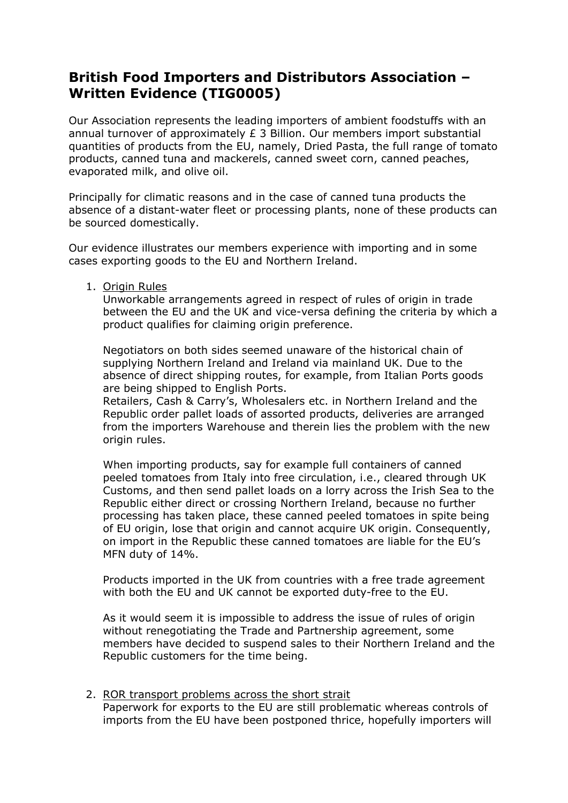## **British Food Importers and Distributors Association – Written Evidence (TIG0005)**

Our Association represents the leading importers of ambient foodstuffs with an annual turnover of approximately £ 3 Billion. Our members import substantial quantities of products from the EU, namely, Dried Pasta, the full range of tomato products, canned tuna and mackerels, canned sweet corn, canned peaches, evaporated milk, and olive oil.

Principally for climatic reasons and in the case of canned tuna products the absence of a distant-water fleet or processing plants, none of these products can be sourced domestically.

Our evidence illustrates our members experience with importing and in some cases exporting goods to the EU and Northern Ireland.

1. Origin Rules

Unworkable arrangements agreed in respect of rules of origin in trade between the EU and the UK and vice-versa defining the criteria by which a product qualifies for claiming origin preference.

Negotiators on both sides seemed unaware of the historical chain of supplying Northern Ireland and Ireland via mainland UK. Due to the absence of direct shipping routes, for example, from Italian Ports goods are being shipped to English Ports.

Retailers, Cash & Carry's, Wholesalers etc. in Northern Ireland and the Republic order pallet loads of assorted products, deliveries are arranged from the importers Warehouse and therein lies the problem with the new origin rules.

When importing products, say for example full containers of canned peeled tomatoes from Italy into free circulation, i.e., cleared through UK Customs, and then send pallet loads on a lorry across the Irish Sea to the Republic either direct or crossing Northern Ireland, because no further processing has taken place, these canned peeled tomatoes in spite being of EU origin, lose that origin and cannot acquire UK origin. Consequently, on import in the Republic these canned tomatoes are liable for the EU's MFN duty of 14%.

Products imported in the UK from countries with a free trade agreement with both the EU and UK cannot be exported duty-free to the EU.

As it would seem it is impossible to address the issue of rules of origin without renegotiating the Trade and Partnership agreement, some members have decided to suspend sales to their Northern Ireland and the Republic customers for the time being.

2. ROR transport problems across the short strait Paperwork for exports to the EU are still problematic whereas controls of imports from the EU have been postponed thrice, hopefully importers will